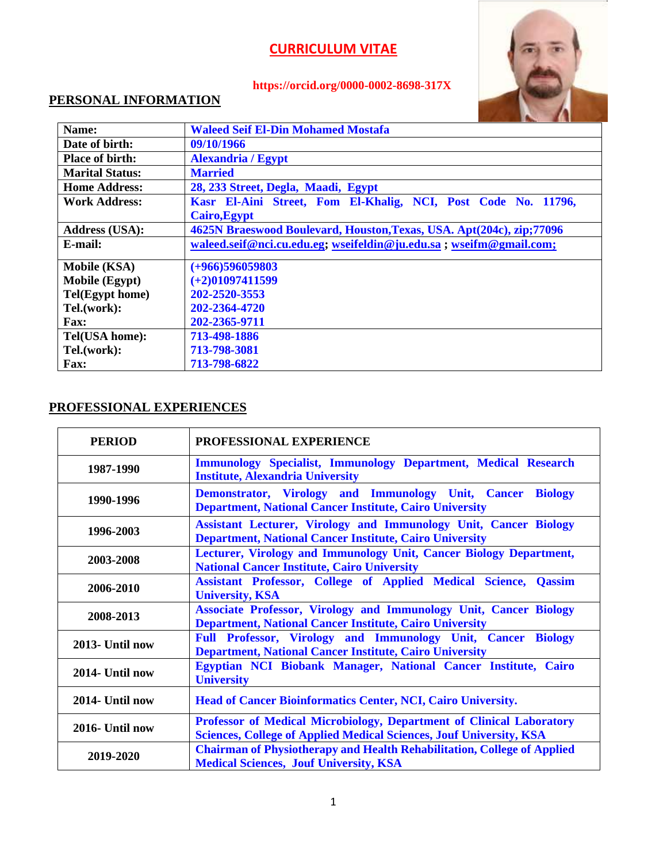# **https://orcid.org/0000-0002-8698-317X**



# **PERSONAL INFORMATION**

| Name:                  | <b>Waleed Seif El-Din Mohamed Mostafa</b>                            |  |
|------------------------|----------------------------------------------------------------------|--|
| Date of birth:         | 09/10/1966                                                           |  |
| <b>Place of birth:</b> | <b>Alexandria / Egypt</b>                                            |  |
| <b>Marital Status:</b> | <b>Married</b>                                                       |  |
| <b>Home Address:</b>   | 28, 233 Street, Degla, Maadi, Egypt                                  |  |
| <b>Work Address:</b>   | Kasr El-Aini Street, Fom El-Khalig, NCI, Post Code No. 11796,        |  |
|                        | Cairo, Egypt                                                         |  |
| <b>Address (USA):</b>  | 4625N Braeswood Boulevard, Houston, Texas, USA. Apt(204c), zip;77096 |  |
| E-mail:                | waleed.seif@nci.cu.edu.eg; wseifeldin@ju.edu.sa; wseifm@gmail.com;   |  |
| <b>Mobile (KSA)</b>    | $(+966)596059803$                                                    |  |
| <b>Mobile</b> (Egypt)  | $(+2)01097411599$                                                    |  |
| Tel(Egypt home)        | 202-2520-3553                                                        |  |
| Tel.(work):            | 202-2364-4720                                                        |  |
| <b>Fax:</b>            | 202-2365-9711                                                        |  |
| Tel(USA home):         | 713-498-1886                                                         |  |
| Tel.(work):            | 713-798-3081                                                         |  |
| <b>Fax:</b>            | 713-798-6822                                                         |  |

### **PROFESSIONAL EXPERIENCES**

| <b>PERIOD</b>   | PROFESSIONAL EXPERIENCE                                                                                                                            |  |
|-----------------|----------------------------------------------------------------------------------------------------------------------------------------------------|--|
| 1987-1990       | <b>Immunology Specialist, Immunology Department, Medical Research</b><br><b>Institute, Alexandria University</b>                                   |  |
| 1990-1996       | Demonstrator, Virology and Immunology Unit, Cancer<br><b>Biology</b><br><b>Department, National Cancer Institute, Cairo University</b>             |  |
| 1996-2003       | <b>Assistant Lecturer, Virology and Immunology Unit, Cancer Biology</b><br><b>Department, National Cancer Institute, Cairo University</b>          |  |
| 2003-2008       | Lecturer, Virology and Immunology Unit, Cancer Biology Department,<br><b>National Cancer Institute, Cairo University</b>                           |  |
| 2006-2010       | Assistant Professor, College of Applied Medical Science, Qassim<br><b>University, KSA</b>                                                          |  |
| 2008-2013       | <b>Associate Professor, Virology and Immunology Unit, Cancer Biology</b><br><b>Department, National Cancer Institute, Cairo University</b>         |  |
| 2013- Until now | Full Professor, Virology and Immunology Unit, Cancer Biology<br><b>Department, National Cancer Institute, Cairo University</b>                     |  |
| 2014- Until now | Egyptian NCI Biobank Manager, National Cancer Institute, Cairo<br><b>University</b>                                                                |  |
| 2014- Until now | <b>Head of Cancer Bioinformatics Center, NCI, Cairo University.</b>                                                                                |  |
| 2016- Until now | Professor of Medical Microbiology, Department of Clinical Laboratory<br><b>Sciences, College of Applied Medical Sciences, Jouf University, KSA</b> |  |
| 2019-2020       | <b>Chairman of Physiotherapy and Health Rehabilitation, College of Applied</b><br><b>Medical Sciences, Jouf University, KSA</b>                    |  |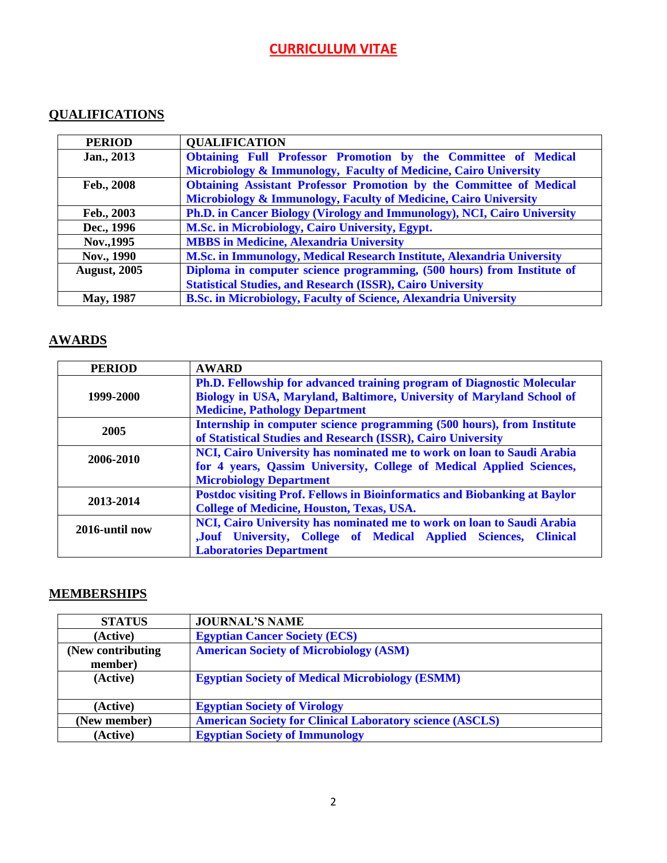### **QUALIFICATIONS**

| <b>PERIOD</b>       | <b>QUALIFICATION</b>                                                       |  |
|---------------------|----------------------------------------------------------------------------|--|
| Jan., 2013          | Obtaining Full Professor Promotion by the Committee of Medical             |  |
|                     | Microbiology & Immunology, Faculty of Medicine, Cairo University           |  |
| Feb., 2008          | <b>Obtaining Assistant Professor Promotion by the Committee of Medical</b> |  |
|                     | Microbiology & Immunology, Faculty of Medicine, Cairo University           |  |
| Feb., 2003          | Ph.D. in Cancer Biology (Virology and Immunology), NCI, Cairo University   |  |
| Dec., 1996          | M.Sc. in Microbiology, Cairo University, Egypt.                            |  |
| Nov., 1995          | <b>MBBS</b> in Medicine, Alexandria University                             |  |
| Nov., 1990          | M.Sc. in Immunology, Medical Research Institute, Alexandria University     |  |
| <b>August, 2005</b> | Diploma in computer science programming, (500 hours) from Institute of     |  |
|                     | <b>Statistical Studies, and Research (ISSR), Cairo University</b>          |  |
| <b>May, 1987</b>    | <b>B.Sc. in Microbiology, Faculty of Science, Alexandria University</b>    |  |

### **AWARDS**

| <b>PERIOD</b>  | <b>AWARD</b>                                                                     |  |
|----------------|----------------------------------------------------------------------------------|--|
|                | Ph.D. Fellowship for advanced training program of Diagnostic Molecular           |  |
| 1999-2000      | Biology in USA, Maryland, Baltimore, University of Maryland School of            |  |
|                | <b>Medicine, Pathology Department</b>                                            |  |
| 2005           | Internship in computer science programming (500 hours), from Institute           |  |
|                | of Statistical Studies and Research (ISSR), Cairo University                     |  |
| 2006-2010      | NCI, Cairo University has nominated me to work on loan to Saudi Arabia           |  |
|                | for 4 years, Qassim University, College of Medical Applied Sciences,             |  |
|                | <b>Microbiology Department</b>                                                   |  |
| 2013-2014      | <b>Postdoc visiting Prof. Fellows in Bioinformatics and Biobanking at Baylor</b> |  |
|                | <b>College of Medicine, Houston, Texas, USA.</b>                                 |  |
| 2016-until now | NCI, Cairo University has nominated me to work on loan to Saudi Arabia           |  |
|                | ,Jouf University, College of Medical Applied Sciences,<br><b>Clinical</b>        |  |
|                | <b>Laboratories Department</b>                                                   |  |

### **MEMBERSHIPS**

| <b>STATUS</b>                 | <b>JOURNAL'S NAME</b>                                           |
|-------------------------------|-----------------------------------------------------------------|
| (Active)                      | <b>Egyptian Cancer Society (ECS)</b>                            |
| (New contributing)<br>member) | <b>American Society of Microbiology (ASM)</b>                   |
| (Active)                      | <b>Egyptian Society of Medical Microbiology (ESMM)</b>          |
| (Active)                      | <b>Egyptian Society of Virology</b>                             |
| (New member)                  | <b>American Society for Clinical Laboratory science (ASCLS)</b> |
| (Active)                      | <b>Egyptian Society of Immunology</b>                           |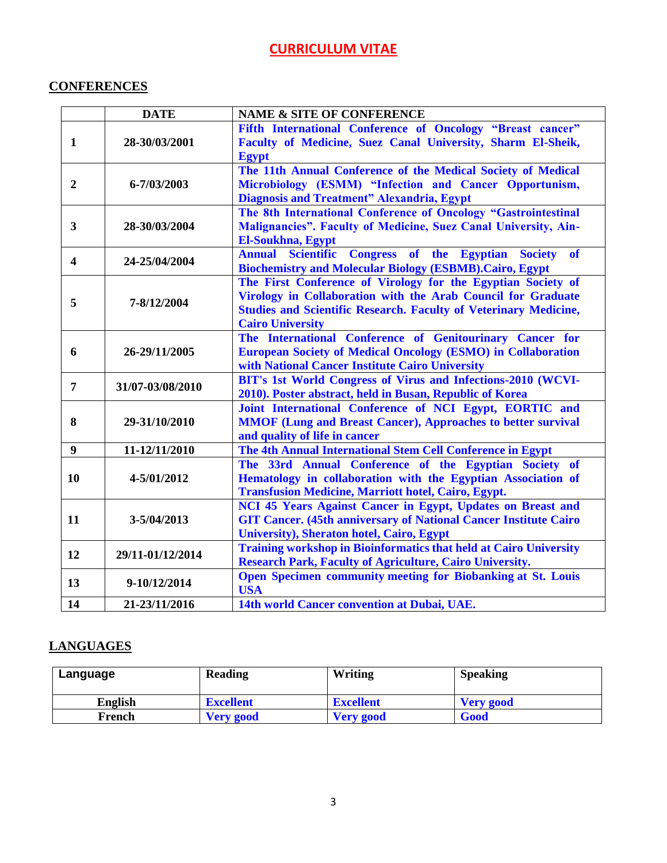### **CONFERENCES**

|                         | <b>DATE</b>      | <b>NAME &amp; SITE OF CONFERENCE</b>                                                                                                                                                                                               |  |
|-------------------------|------------------|------------------------------------------------------------------------------------------------------------------------------------------------------------------------------------------------------------------------------------|--|
| 1                       | 28-30/03/2001    | Fifth International Conference of Oncology "Breast cancer"<br>Faculty of Medicine, Suez Canal University, Sharm El-Sheik,<br><b>Egypt</b>                                                                                          |  |
| $\boldsymbol{2}$        | 6-7/03/2003      | The 11th Annual Conference of the Medical Society of Medical<br>Microbiology (ESMM) "Infection and Cancer Opportunism,<br><b>Diagnosis and Treatment" Alexandria, Egypt</b>                                                        |  |
| 3                       | 28-30/03/2004    | The 8th International Conference of Oncology "Gastrointestinal<br>Malignancies". Faculty of Medicine, Suez Canal University, Ain-<br><b>El-Soukhna, Egypt</b>                                                                      |  |
| $\overline{\mathbf{4}}$ | 24-25/04/2004    | <b>Annual Scientific Congress</b><br>of the Egyptian Society<br><b>of</b><br><b>Biochemistry and Molecular Biology (ESBMB). Cairo, Egypt</b>                                                                                       |  |
| 5                       | 7-8/12/2004      | The First Conference of Virology for the Egyptian Society of<br>Virology in Collaboration with the Arab Council for Graduate<br><b>Studies and Scientific Research. Faculty of Veterinary Medicine,</b><br><b>Cairo University</b> |  |
| 6                       | 26-29/11/2005    | The International Conference of Genitourinary Cancer for<br><b>European Society of Medical Oncology (ESMO) in Collaboration</b><br>with National Cancer Institute Cairo University                                                 |  |
| 7                       | 31/07-03/08/2010 | BIT's 1st World Congress of Virus and Infections-2010 (WCVI-<br>2010). Poster abstract, held in Busan, Republic of Korea                                                                                                           |  |
| 8                       | 29-31/10/2010    | Joint International Conference of NCI Egypt, EORTIC and<br><b>MMOF (Lung and Breast Cancer), Approaches to better survival</b><br>and quality of life in cancer                                                                    |  |
| $\boldsymbol{9}$        | 11-12/11/2010    | The 4th Annual International Stem Cell Conference in Egypt                                                                                                                                                                         |  |
| 10                      | 4-5/01/2012      | The 33rd Annual Conference of the Egyptian Society of<br>Hematology in collaboration with the Egyptian Association of<br><b>Transfusion Medicine, Marriott hotel, Cairo, Egypt.</b>                                                |  |
| 11                      | 3-5/04/2013      | NCI 45 Years Against Cancer in Egypt, Updates on Breast and<br><b>GIT Cancer. (45th anniversary of National Cancer Institute Cairo</b><br><b>University), Sheraton hotel, Cairo, Egypt</b>                                         |  |
| 12                      | 29/11-01/12/2014 | <b>Training workshop in Bioinformatics that held at Cairo University</b><br><b>Research Park, Faculty of Agriculture, Cairo University.</b>                                                                                        |  |
| 13                      | 9-10/12/2014     | <b>Open Specimen community meeting for Biobanking at St. Louis</b><br><b>USA</b>                                                                                                                                                   |  |
| 14                      | 21-23/11/2016    | 14th world Cancer convention at Dubai, UAE.                                                                                                                                                                                        |  |

### **LANGUAGES**

| Language       | <b>Reading</b>   | Writing          | <b>Speaking</b>  |
|----------------|------------------|------------------|------------------|
| <b>English</b> | <b>Excellent</b> | <b>Excellent</b> | <b>Very good</b> |
| French         | <b>Very good</b> | <b>Very good</b> | Good             |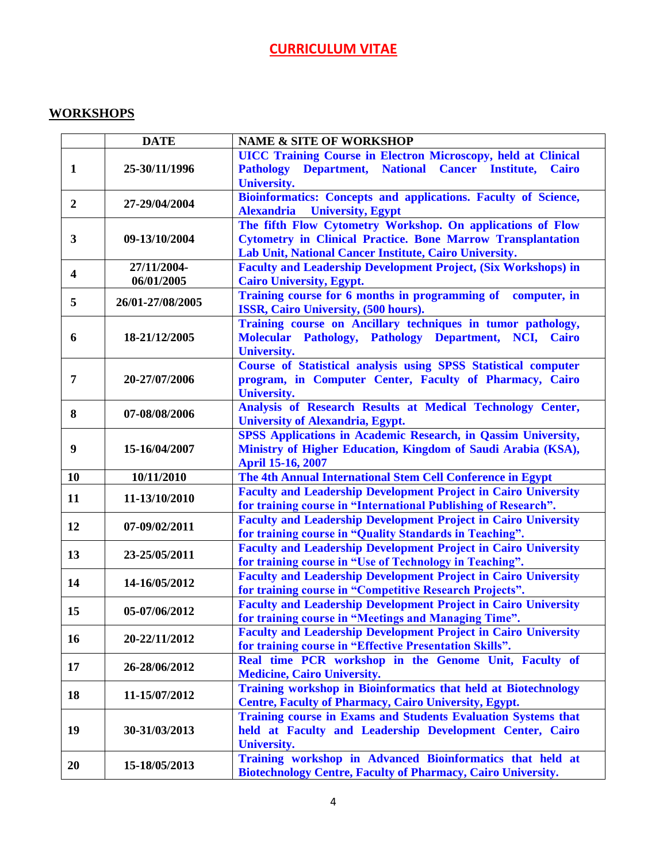#### **WORKSHOPS**

|                         | <b>DATE</b>      | <b>NAME &amp; SITE OF WORKSHOP</b>                                    |
|-------------------------|------------------|-----------------------------------------------------------------------|
|                         |                  | <b>UICC Training Course in Electron Microscopy, held at Clinical</b>  |
| 1                       | 25-30/11/1996    | Pathology Department, National Cancer Institute, Cairo                |
|                         |                  | <b>University.</b>                                                    |
| $\overline{2}$          | 27-29/04/2004    | Bioinformatics: Concepts and applications. Faculty of Science,        |
|                         |                  | <b>Alexandria</b><br><b>University, Egypt</b>                         |
|                         |                  | The fifth Flow Cytometry Workshop. On applications of Flow            |
| $\mathbf{3}$            | 09-13/10/2004    | <b>Cytometry in Clinical Practice. Bone Marrow Transplantation</b>    |
|                         |                  | Lab Unit, National Cancer Institute, Cairo University.                |
|                         | 27/11/2004-      | <b>Faculty and Leadership Development Project, (Six Workshops) in</b> |
| $\overline{\mathbf{4}}$ | 06/01/2005       | <b>Cairo University, Egypt.</b>                                       |
| 5                       | 26/01-27/08/2005 | Training course for 6 months in programming of<br>computer, in        |
|                         |                  | ISSR, Cairo University, (500 hours).                                  |
|                         |                  | Training course on Ancillary techniques in tumor pathology,           |
| 6                       | 18-21/12/2005    | Molecular Pathology, Pathology Department, NCI, Cairo                 |
|                         |                  | <b>University.</b>                                                    |
|                         |                  | Course of Statistical analysis using SPSS Statistical computer        |
| 7                       | 20-27/07/2006    | program, in Computer Center, Faculty of Pharmacy, Cairo               |
|                         |                  | <b>University.</b>                                                    |
| 8                       | 07-08/08/2006    | Analysis of Research Results at Medical Technology Center,            |
|                         |                  | <b>University of Alexandria, Egypt.</b>                               |
|                         |                  | <b>SPSS Applications in Academic Research, in Qassim University,</b>  |
| 9                       | 15-16/04/2007    | Ministry of Higher Education, Kingdom of Saudi Arabia (KSA),          |
|                         |                  | <b>April 15-16, 2007</b>                                              |
| 10                      | 10/11/2010       | The 4th Annual International Stem Cell Conference in Egypt            |
| 11                      | 11-13/10/2010    | <b>Faculty and Leadership Development Project in Cairo University</b> |
|                         |                  | for training course in "International Publishing of Research".        |
| 12                      | 07-09/02/2011    | <b>Faculty and Leadership Development Project in Cairo University</b> |
|                         |                  | for training course in "Quality Standards in Teaching".               |
| 13                      | 23-25/05/2011    | <b>Faculty and Leadership Development Project in Cairo University</b> |
|                         |                  | for training course in "Use of Technology in Teaching".               |
| 14                      | 14-16/05/2012    | <b>Faculty and Leadership Development Project in Cairo University</b> |
|                         |                  | for training course in "Competitive Research Projects".               |
| 15                      | 05-07/06/2012    | <b>Faculty and Leadership Development Project in Cairo University</b> |
|                         |                  | for training course in "Meetings and Managing Time".                  |
| 16                      | 20-22/11/2012    | <b>Faculty and Leadership Development Project in Cairo University</b> |
|                         |                  | for training course in "Effective Presentation Skills".               |
| 17                      | 26-28/06/2012    | Real time PCR workshop in the Genome Unit, Faculty of                 |
|                         |                  | <b>Medicine, Cairo University.</b>                                    |
| 18                      | 11-15/07/2012    | Training workshop in Bioinformatics that held at Biotechnology        |
|                         |                  | <b>Centre, Faculty of Pharmacy, Cairo University, Egypt.</b>          |
|                         |                  | <b>Training course in Exams and Students Evaluation Systems that</b>  |
| 19                      | 30-31/03/2013    | held at Faculty and Leadership Development Center, Cairo              |
|                         |                  | <b>University.</b>                                                    |
| 20                      | 15-18/05/2013    | Training workshop in Advanced Bioinformatics that held at             |
|                         |                  | <b>Biotechnology Centre, Faculty of Pharmacy, Cairo University.</b>   |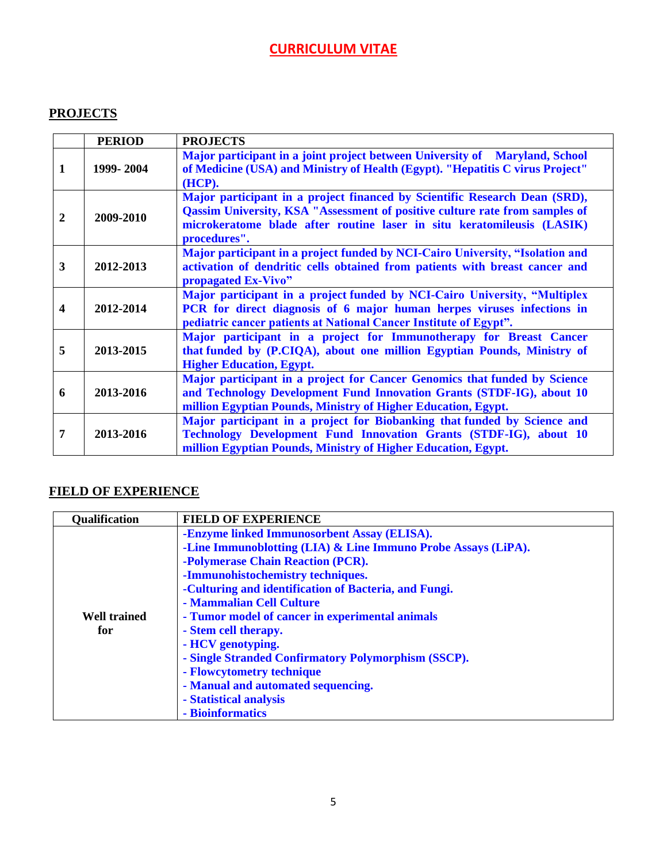### **PROJECTS**

|                         | <b>PERIOD</b> | <b>PROJECTS</b>                                                                                                                                                                                                                                            |
|-------------------------|---------------|------------------------------------------------------------------------------------------------------------------------------------------------------------------------------------------------------------------------------------------------------------|
| $\mathbf{1}$            | 1999-2004     | Major participant in a joint project between University of Maryland, School<br>of Medicine (USA) and Ministry of Health (Egypt). "Hepatitis C virus Project"<br>(HCP).                                                                                     |
| $\boldsymbol{2}$        | 2009-2010     | Major participant in a project financed by Scientific Research Dean (SRD),<br><b>Qassim University, KSA "Assessment of positive culture rate from samples of</b><br>microkeratome blade after routine laser in situ keratomileusis (LASIK)<br>procedures". |
| $\mathbf{3}$            | 2012-2013     | Major participant in a project funded by NCI-Cairo University, "Isolation and<br>activation of dendritic cells obtained from patients with breast cancer and<br>propagated Ex-Vivo"                                                                        |
| $\overline{\mathbf{4}}$ | 2012-2014     | Major participant in a project funded by NCI-Cairo University, "Multiplex<br>PCR for direct diagnosis of 6 major human herpes viruses infections in<br>pediatric cancer patients at National Cancer Institute of Egypt".                                   |
| 5                       | 2013-2015     | Major participant in a project for Immunotherapy for Breast Cancer<br>that funded by (P.CIQA), about one million Egyptian Pounds, Ministry of<br><b>Higher Education, Egypt.</b>                                                                           |
| 6                       | 2013-2016     | Major participant in a project for Cancer Genomics that funded by Science<br>and Technology Development Fund Innovation Grants (STDF-IG), about 10<br>million Egyptian Pounds, Ministry of Higher Education, Egypt.                                        |
| 7                       | 2013-2016     | Major participant in a project for Biobanking that funded by Science and<br>Technology Development Fund Innovation Grants (STDF-IG), about 10<br>million Egyptian Pounds, Ministry of Higher Education, Egypt.                                             |

### **FIELD OF EXPERIENCE**

| <b>Qualification</b> | <b>FIELD OF EXPERIENCE</b>                                    |
|----------------------|---------------------------------------------------------------|
|                      | -Enzyme linked Immunosorbent Assay (ELISA).                   |
|                      | -Line Immunoblotting (LIA) & Line Immuno Probe Assays (LiPA). |
|                      | -Polymerase Chain Reaction (PCR).                             |
|                      | -Immunohistochemistry techniques.                             |
|                      | -Culturing and identification of Bacteria, and Fungi.         |
|                      | - Mammalian Cell Culture                                      |
| <b>Well trained</b>  | - Tumor model of cancer in experimental animals               |
| for                  | - Stem cell therapy.                                          |
|                      | - HCV genotyping.                                             |
|                      | - Single Stranded Confirmatory Polymorphism (SSCP).           |
|                      | - Flowcytometry technique                                     |
|                      | - Manual and automated sequencing.                            |
|                      | - Statistical analysis                                        |
|                      | - Bioinformatics                                              |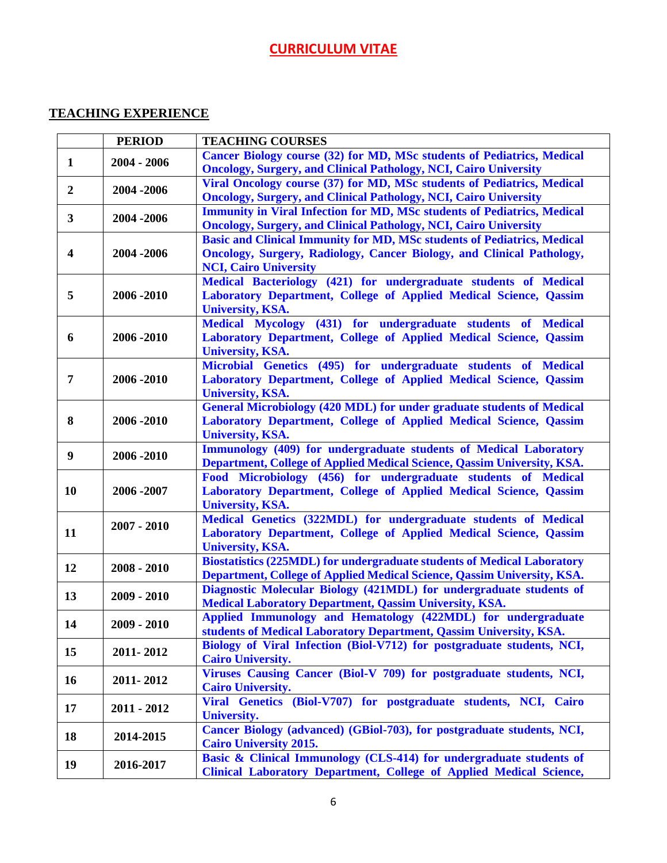### **TEACHING EXPERIENCE**

|                  | <b>PERIOD</b> | <b>TEACHING COURSES</b>                                                        |
|------------------|---------------|--------------------------------------------------------------------------------|
| $\mathbf{1}$     | $2004 - 2006$ | Cancer Biology course (32) for MD, MSc students of Pediatrics, Medical         |
|                  |               | <b>Oncology, Surgery, and Clinical Pathology, NCI, Cairo University</b>        |
| $\overline{2}$   | 2004 - 2006   | Viral Oncology course (37) for MD, MSc students of Pediatrics, Medical         |
|                  |               | <b>Oncology, Surgery, and Clinical Pathology, NCI, Cairo University</b>        |
| 3 <sup>1</sup>   |               | <b>Immunity in Viral Infection for MD, MSc students of Pediatrics, Medical</b> |
|                  | 2004 - 2006   | <b>Oncology, Surgery, and Clinical Pathology, NCI, Cairo University</b>        |
|                  |               | <b>Basic and Clinical Immunity for MD, MSc students of Pediatrics, Medical</b> |
| $\boldsymbol{4}$ | 2004 - 2006   | <b>Oncology, Surgery, Radiology, Cancer Biology, and Clinical Pathology,</b>   |
|                  |               | <b>NCI, Cairo University</b>                                                   |
|                  |               | Medical Bacteriology (421) for undergraduate students of Medical               |
| 5                | 2006 - 2010   | Laboratory Department, College of Applied Medical Science, Qassim              |
|                  |               | <b>University, KSA.</b>                                                        |
|                  |               | Medical Mycology (431) for undergraduate students of Medical                   |
| 6                | 2006 - 2010   | Laboratory Department, College of Applied Medical Science, Qassim              |
|                  |               | <b>University, KSA.</b>                                                        |
|                  |               | Microbial Genetics (495) for undergraduate students of Medical                 |
| 7                | 2006 - 2010   | Laboratory Department, College of Applied Medical Science, Qassim              |
|                  |               | <b>University, KSA.</b>                                                        |
|                  |               | <b>General Microbiology (420 MDL) for under graduate students of Medical</b>   |
| 8                | 2006 - 2010   | Laboratory Department, College of Applied Medical Science, Qassim              |
|                  |               | <b>University, KSA.</b>                                                        |
| 9                | 2006 - 2010   | Immunology (409) for undergraduate students of Medical Laboratory              |
|                  |               | Department, College of Applied Medical Science, Qassim University, KSA.        |
|                  |               | Food Microbiology (456) for undergraduate students of Medical                  |
| 10               | 2006 - 2007   | Laboratory Department, College of Applied Medical Science, Qassim              |
|                  |               | <b>University, KSA.</b>                                                        |
|                  | $2007 - 2010$ | Medical Genetics (322MDL) for undergraduate students of Medical                |
| 11               |               | Laboratory Department, College of Applied Medical Science, Qassim              |
|                  |               | <b>University, KSA.</b>                                                        |
| 12               | $2008 - 2010$ | <b>Biostatistics (225MDL) for undergraduate students of Medical Laboratory</b> |
|                  |               | Department, College of Applied Medical Science, Qassim University, KSA.        |
| 13               | $2009 - 2010$ | Diagnostic Molecular Biology (421MDL) for undergraduate students of            |
|                  |               | <b>Medical Laboratory Department, Qassim University, KSA.</b>                  |
| 14               | 2009 - 2010   | Applied Immunology and Hematology (422MDL) for undergraduate                   |
|                  |               | students of Medical Laboratory Department, Qassim University, KSA.             |
| 15               | 2011-2012     | Biology of Viral Infection (Biol-V712) for postgraduate students, NCI,         |
|                  |               | <b>Cairo University.</b>                                                       |
| 16               | 2011-2012     | Viruses Causing Cancer (Biol-V 709) for postgraduate students, NCI,            |
|                  |               | <b>Cairo University.</b>                                                       |
| 17               | $2011 - 2012$ | Viral Genetics (Biol-V707) for postgraduate students, NCI, Cairo               |
|                  |               | <b>University.</b>                                                             |
| 18               | 2014-2015     | Cancer Biology (advanced) (GBiol-703), for postgraduate students, NCI,         |
|                  |               | <b>Cairo University 2015.</b>                                                  |
| 19               | 2016-2017     | Basic & Clinical Immunology (CLS-414) for undergraduate students of            |
|                  |               | <b>Clinical Laboratory Department, College of Applied Medical Science,</b>     |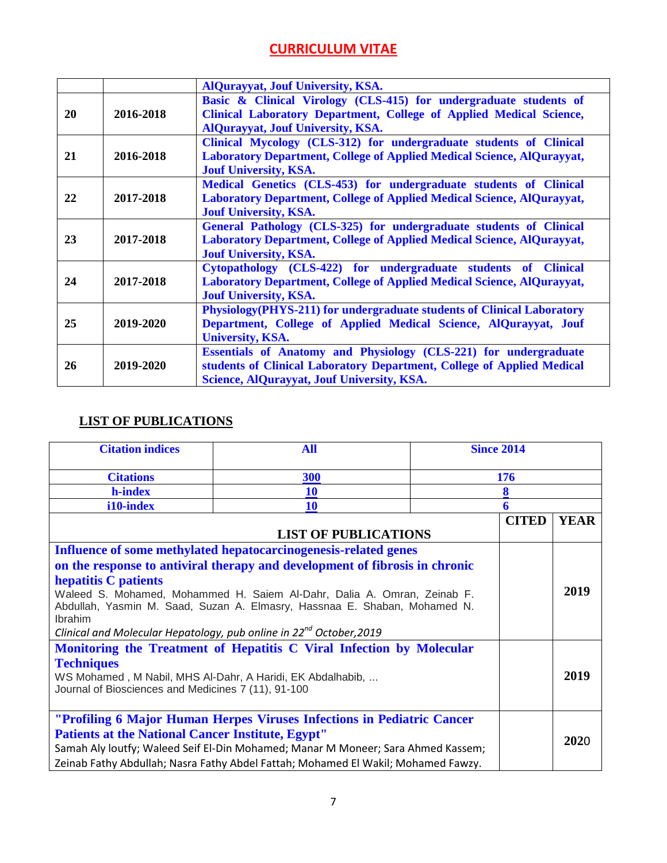|    |           | <b>AlQurayyat, Jouf University, KSA.</b>                                                                                                                                                 |
|----|-----------|------------------------------------------------------------------------------------------------------------------------------------------------------------------------------------------|
| 20 | 2016-2018 | Basic & Clinical Virology (CLS-415) for undergraduate students of<br>Clinical Laboratory Department, College of Applied Medical Science,<br><b>AlQurayyat, Jouf University, KSA.</b>     |
| 21 | 2016-2018 | Clinical Mycology (CLS-312) for undergraduate students of Clinical<br>Laboratory Department, College of Applied Medical Science, AlQurayyat,<br><b>Jouf University, KSA.</b>             |
| 22 | 2017-2018 | Medical Genetics (CLS-453) for undergraduate students of Clinical<br><b>Laboratory Department, College of Applied Medical Science, AlQurayyat,</b><br><b>Jouf University, KSA.</b>       |
| 23 | 2017-2018 | General Pathology (CLS-325) for undergraduate students of Clinical<br><b>Laboratory Department, College of Applied Medical Science, AlQurayyat,</b><br><b>Jouf University, KSA.</b>      |
| 24 | 2017-2018 | Cytopathology (CLS-422) for undergraduate students of Clinical<br><b>Laboratory Department, College of Applied Medical Science, AlQurayyat,</b><br><b>Jouf University, KSA.</b>          |
| 25 | 2019-2020 | <b>Physiology</b> (PHYS-211) for undergraduate students of Clinical Laboratory<br>Department, College of Applied Medical Science, AlQurayyat, Jouf<br><b>University, KSA.</b>            |
| 26 | 2019-2020 | Essentials of Anatomy and Physiology (CLS-221) for undergraduate<br>students of Clinical Laboratory Department, College of Applied Medical<br>Science, AlQurayyat, Jouf University, KSA. |

### **LIST OF PUBLICATIONS**

| <b>Citation indices</b>                                                                                                                                                                                                                                                    | <b>All</b>                                                                        | <b>Since 2014</b> |             |
|----------------------------------------------------------------------------------------------------------------------------------------------------------------------------------------------------------------------------------------------------------------------------|-----------------------------------------------------------------------------------|-------------------|-------------|
| <b>Citations</b>                                                                                                                                                                                                                                                           | 300                                                                               | 176               |             |
| h-index                                                                                                                                                                                                                                                                    | <b>10</b>                                                                         |                   |             |
| i10-index                                                                                                                                                                                                                                                                  | <b>10</b>                                                                         | 6                 |             |
| <b>LIST OF PUBLICATIONS</b>                                                                                                                                                                                                                                                |                                                                                   | <b>CITED</b>      | <b>YEAR</b> |
|                                                                                                                                                                                                                                                                            | Influence of some methylated hepatocarcinogenesis-related genes                   |                   |             |
| on the response to antiviral therapy and development of fibrosis in chronic                                                                                                                                                                                                |                                                                                   |                   |             |
| hepatitis C patients<br>Waleed S. Mohamed, Mohammed H. Saiem Al-Dahr, Dalia A. Omran, Zeinab F.<br>Abdullah, Yasmin M. Saad, Suzan A. Elmasry, Hassnaa E. Shaban, Mohamed N.<br><b>Ibrahim</b><br>Clinical and Molecular Hepatology, pub online in $22^{nd}$ October, 2019 |                                                                                   |                   | 2019        |
|                                                                                                                                                                                                                                                                            | Monitoring the Treatment of Hepatitis C Viral Infection by Molecular              |                   |             |
| <b>Techniques</b><br>WS Mohamed, M Nabil, MHS Al-Dahr, A Haridi, EK Abdalhabib,<br>Journal of Biosciences and Medicines 7 (11), 91-100                                                                                                                                     |                                                                                   |                   | 2019        |
|                                                                                                                                                                                                                                                                            | "Profiling 6 Major Human Herpes Viruses Infections in Pediatric Cancer            |                   |             |
| <b>Patients at the National Cancer Institute, Egypt''</b>                                                                                                                                                                                                                  |                                                                                   |                   | 2020        |
|                                                                                                                                                                                                                                                                            | Samah Aly loutfy; Waleed Seif El-Din Mohamed; Manar M Moneer; Sara Ahmed Kassem;  |                   |             |
|                                                                                                                                                                                                                                                                            | Zeinab Fathy Abdullah; Nasra Fathy Abdel Fattah; Mohamed El Wakil; Mohamed Fawzy. |                   |             |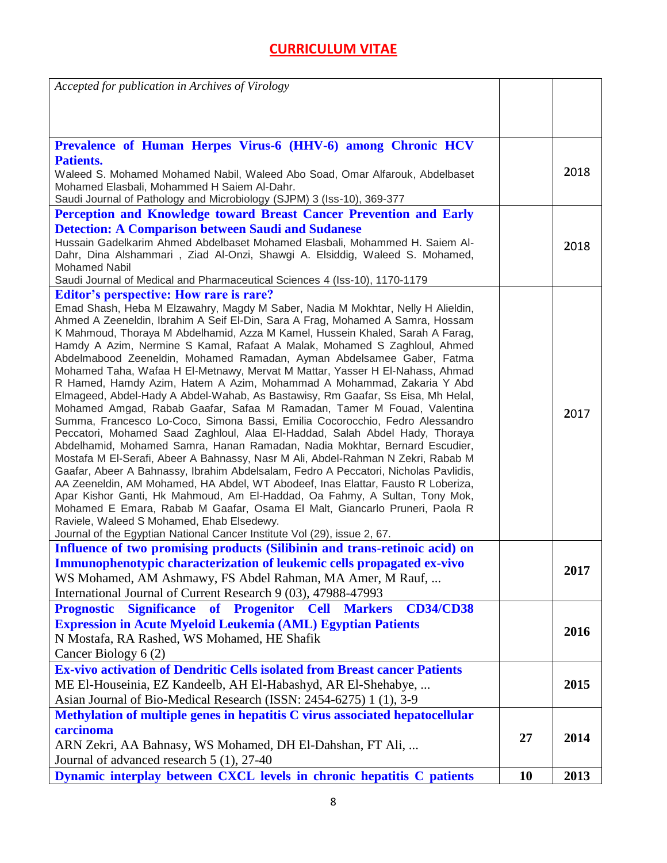| Accepted for publication in Archives of Virology                                                                                                               |    |      |
|----------------------------------------------------------------------------------------------------------------------------------------------------------------|----|------|
|                                                                                                                                                                |    |      |
|                                                                                                                                                                |    |      |
| Prevalence of Human Herpes Virus-6 (HHV-6) among Chronic HCV                                                                                                   |    |      |
| <b>Patients.</b>                                                                                                                                               |    |      |
| Waleed S. Mohamed Mohamed Nabil, Waleed Abo Soad, Omar Alfarouk, Abdelbaset                                                                                    |    | 2018 |
| Mohamed Elasbali, Mohammed H Saiem Al-Dahr.                                                                                                                    |    |      |
| Saudi Journal of Pathology and Microbiology (SJPM) 3 (Iss-10), 369-377                                                                                         |    |      |
| Perception and Knowledge toward Breast Cancer Prevention and Early                                                                                             |    |      |
| <b>Detection: A Comparison between Saudi and Sudanese</b>                                                                                                      |    |      |
| Hussain Gadelkarim Ahmed Abdelbaset Mohamed Elasbali, Mohammed H. Saiem Al-                                                                                    |    | 2018 |
| Dahr, Dina Alshammari, Ziad Al-Onzi, Shawgi A. Elsiddig, Waleed S. Mohamed,                                                                                    |    |      |
| <b>Mohamed Nabil</b>                                                                                                                                           |    |      |
| Saudi Journal of Medical and Pharmaceutical Sciences 4 (Iss-10), 1170-1179                                                                                     |    |      |
| <b>Editor's perspective: How rare is rare?</b>                                                                                                                 |    |      |
| Emad Shash, Heba M Elzawahry, Magdy M Saber, Nadia M Mokhtar, Nelly H Alieldin,                                                                                |    |      |
| Ahmed A Zeeneldin, Ibrahim A Seif El-Din, Sara A Frag, Mohamed A Samra, Hossam                                                                                 |    |      |
| K Mahmoud, Thoraya M Abdelhamid, Azza M Kamel, Hussein Khaled, Sarah A Farag,<br>Hamdy A Azim, Nermine S Kamal, Rafaat A Malak, Mohamed S Zaghloul, Ahmed      |    |      |
| Abdelmabood Zeeneldin, Mohamed Ramadan, Ayman Abdelsamee Gaber, Fatma                                                                                          |    |      |
| Mohamed Taha, Wafaa H El-Metnawy, Mervat M Mattar, Yasser H El-Nahass, Ahmad                                                                                   |    |      |
| R Hamed, Hamdy Azim, Hatem A Azim, Mohammad A Mohammad, Zakaria Y Abd                                                                                          |    |      |
| Elmageed, Abdel-Hady A Abdel-Wahab, As Bastawisy, Rm Gaafar, Ss Eisa, Mh Helal,                                                                                |    |      |
| Mohamed Amgad, Rabab Gaafar, Safaa M Ramadan, Tamer M Fouad, Valentina                                                                                         |    | 2017 |
| Summa, Francesco Lo-Coco, Simona Bassi, Emilia Cocorocchio, Fedro Alessandro                                                                                   |    |      |
| Peccatori, Mohamed Saad Zaghloul, Alaa El-Haddad, Salah Abdel Hady, Thoraya                                                                                    |    |      |
| Abdelhamid, Mohamed Samra, Hanan Ramadan, Nadia Mokhtar, Bernard Escudier,                                                                                     |    |      |
| Mostafa M El-Serafi, Abeer A Bahnassy, Nasr M Ali, Abdel-Rahman N Zekri, Rabab M                                                                               |    |      |
| Gaafar, Abeer A Bahnassy, Ibrahim Abdelsalam, Fedro A Peccatori, Nicholas Pavlidis,                                                                            |    |      |
| AA Zeeneldin, AM Mohamed, HA Abdel, WT Abodeef, Inas Elattar, Fausto R Loberiza,<br>Apar Kishor Ganti, Hk Mahmoud, Am El-Haddad, Oa Fahmy, A Sultan, Tony Mok, |    |      |
| Mohamed E Emara, Rabab M Gaafar, Osama El Malt, Giancarlo Pruneri, Paola R                                                                                     |    |      |
| Raviele, Waleed S Mohamed, Ehab Elsedewy.                                                                                                                      |    |      |
| Journal of the Egyptian National Cancer Institute Vol (29), issue 2, 67.                                                                                       |    |      |
| Influence of two promising products (Silibinin and trans-retinoic acid) on                                                                                     |    |      |
| Immunophenotypic characterization of leukemic cells propagated ex-vivo                                                                                         |    |      |
| WS Mohamed, AM Ashmawy, FS Abdel Rahman, MA Amer, M Rauf,                                                                                                      |    | 2017 |
| International Journal of Current Research 9 (03), 47988-47993                                                                                                  |    |      |
| <b>Significance</b><br>of Progenitor<br><b>Prognostic</b><br><b>Cell</b><br><b>CD34/CD38</b><br><b>Markers</b>                                                 |    |      |
| <b>Expression in Acute Myeloid Leukemia (AML) Egyptian Patients</b>                                                                                            |    |      |
| N Mostafa, RA Rashed, WS Mohamed, HE Shafik                                                                                                                    |    | 2016 |
| Cancer Biology 6 (2)                                                                                                                                           |    |      |
| <b>Ex-vivo activation of Dendritic Cells isolated from Breast cancer Patients</b>                                                                              |    |      |
| ME El-Houseinia, EZ Kandeelb, AH El-Habashyd, AR El-Shehabye,                                                                                                  |    | 2015 |
| Asian Journal of Bio-Medical Research (ISSN: 2454-6275) 1 (1), 3-9                                                                                             |    |      |
| Methylation of multiple genes in hepatitis C virus associated hepatocellular                                                                                   |    |      |
| carcinoma                                                                                                                                                      |    |      |
| 27<br>ARN Zekri, AA Bahnasy, WS Mohamed, DH El-Dahshan, FT Ali,                                                                                                |    | 2014 |
| Journal of advanced research 5 (1), 27-40                                                                                                                      |    |      |
| Dynamic interplay between CXCL levels in chronic hepatitis C patients                                                                                          | 10 | 2013 |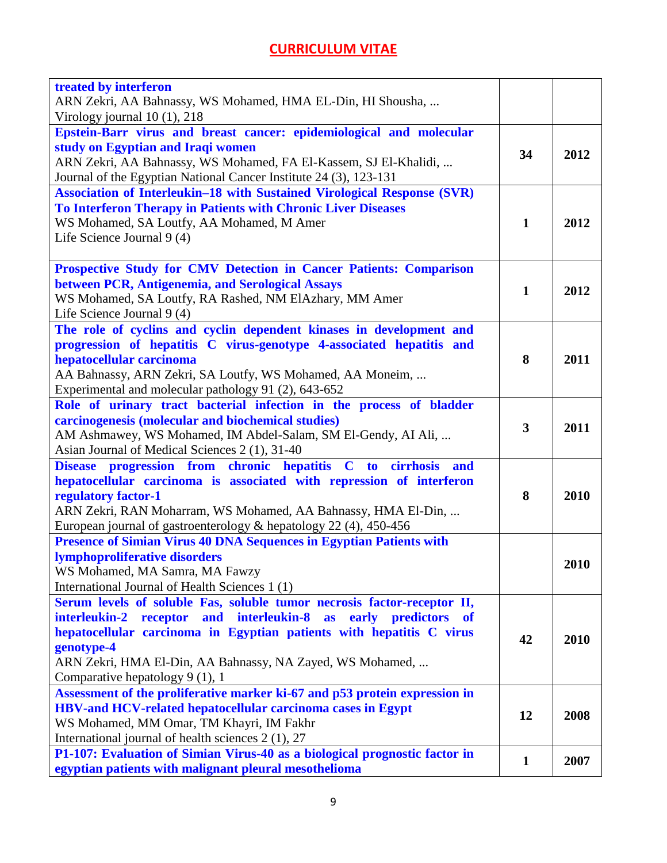| ARN Zekri, AA Bahnassy, WS Mohamed, HMA EL-Din, HI Shousha,<br>Virology journal $10(1)$ , $218$<br>Epstein-Barr virus and breast cancer: epidemiological and molecular<br>study on Egyptian and Iraqi women<br>2012<br>34<br>ARN Zekri, AA Bahnassy, WS Mohamed, FA El-Kassem, SJ El-Khalidi,<br>Journal of the Egyptian National Cancer Institute 24 (3), 123-131<br>Association of Interleukin-18 with Sustained Virological Response (SVR)<br>To Interferon Therapy in Patients with Chronic Liver Diseases<br>WS Mohamed, SA Loutfy, AA Mohamed, M Amer<br>$\mathbf{1}$<br>2012<br>Life Science Journal 9 (4)<br>Prospective Study for CMV Detection in Cancer Patients: Comparison<br>between PCR, Antigenemia, and Serological Assays<br>$\mathbf{1}$<br>2012<br>WS Mohamed, SA Loutfy, RA Rashed, NM ElAzhary, MM Amer<br>Life Science Journal 9 (4) |
|-------------------------------------------------------------------------------------------------------------------------------------------------------------------------------------------------------------------------------------------------------------------------------------------------------------------------------------------------------------------------------------------------------------------------------------------------------------------------------------------------------------------------------------------------------------------------------------------------------------------------------------------------------------------------------------------------------------------------------------------------------------------------------------------------------------------------------------------------------------|
|                                                                                                                                                                                                                                                                                                                                                                                                                                                                                                                                                                                                                                                                                                                                                                                                                                                             |
|                                                                                                                                                                                                                                                                                                                                                                                                                                                                                                                                                                                                                                                                                                                                                                                                                                                             |
|                                                                                                                                                                                                                                                                                                                                                                                                                                                                                                                                                                                                                                                                                                                                                                                                                                                             |
|                                                                                                                                                                                                                                                                                                                                                                                                                                                                                                                                                                                                                                                                                                                                                                                                                                                             |
|                                                                                                                                                                                                                                                                                                                                                                                                                                                                                                                                                                                                                                                                                                                                                                                                                                                             |
|                                                                                                                                                                                                                                                                                                                                                                                                                                                                                                                                                                                                                                                                                                                                                                                                                                                             |
|                                                                                                                                                                                                                                                                                                                                                                                                                                                                                                                                                                                                                                                                                                                                                                                                                                                             |
|                                                                                                                                                                                                                                                                                                                                                                                                                                                                                                                                                                                                                                                                                                                                                                                                                                                             |
|                                                                                                                                                                                                                                                                                                                                                                                                                                                                                                                                                                                                                                                                                                                                                                                                                                                             |
|                                                                                                                                                                                                                                                                                                                                                                                                                                                                                                                                                                                                                                                                                                                                                                                                                                                             |
|                                                                                                                                                                                                                                                                                                                                                                                                                                                                                                                                                                                                                                                                                                                                                                                                                                                             |
|                                                                                                                                                                                                                                                                                                                                                                                                                                                                                                                                                                                                                                                                                                                                                                                                                                                             |
|                                                                                                                                                                                                                                                                                                                                                                                                                                                                                                                                                                                                                                                                                                                                                                                                                                                             |
|                                                                                                                                                                                                                                                                                                                                                                                                                                                                                                                                                                                                                                                                                                                                                                                                                                                             |
| The role of cyclins and cyclin dependent kinases in development and                                                                                                                                                                                                                                                                                                                                                                                                                                                                                                                                                                                                                                                                                                                                                                                         |
| progression of hepatitis C virus-genotype 4-associated hepatitis and                                                                                                                                                                                                                                                                                                                                                                                                                                                                                                                                                                                                                                                                                                                                                                                        |
| hepatocellular carcinoma<br>8<br>2011                                                                                                                                                                                                                                                                                                                                                                                                                                                                                                                                                                                                                                                                                                                                                                                                                       |
| AA Bahnassy, ARN Zekri, SA Loutfy, WS Mohamed, AA Moneim,                                                                                                                                                                                                                                                                                                                                                                                                                                                                                                                                                                                                                                                                                                                                                                                                   |
| Experimental and molecular pathology 91 (2), 643-652                                                                                                                                                                                                                                                                                                                                                                                                                                                                                                                                                                                                                                                                                                                                                                                                        |
| Role of urinary tract bacterial infection in the process of bladder                                                                                                                                                                                                                                                                                                                                                                                                                                                                                                                                                                                                                                                                                                                                                                                         |
| carcinogenesis (molecular and biochemical studies)<br>3<br>2011                                                                                                                                                                                                                                                                                                                                                                                                                                                                                                                                                                                                                                                                                                                                                                                             |
| AM Ashmawey, WS Mohamed, IM Abdel-Salam, SM El-Gendy, AI Ali,                                                                                                                                                                                                                                                                                                                                                                                                                                                                                                                                                                                                                                                                                                                                                                                               |
| Asian Journal of Medical Sciences 2 (1), 31-40<br>Disease progression from chronic hepatitis C to cirrhosis<br>and                                                                                                                                                                                                                                                                                                                                                                                                                                                                                                                                                                                                                                                                                                                                          |
| hepatocellular carcinoma is associated with repression of interferon                                                                                                                                                                                                                                                                                                                                                                                                                                                                                                                                                                                                                                                                                                                                                                                        |
| 8<br>2010<br>regulatory factor-1                                                                                                                                                                                                                                                                                                                                                                                                                                                                                                                                                                                                                                                                                                                                                                                                                            |
| ARN Zekri, RAN Moharram, WS Mohamed, AA Bahnassy, HMA El-Din,                                                                                                                                                                                                                                                                                                                                                                                                                                                                                                                                                                                                                                                                                                                                                                                               |
| European journal of gastroenterology & hepatology 22 (4), 450-456                                                                                                                                                                                                                                                                                                                                                                                                                                                                                                                                                                                                                                                                                                                                                                                           |
| <b>Presence of Simian Virus 40 DNA Sequences in Egyptian Patients with</b>                                                                                                                                                                                                                                                                                                                                                                                                                                                                                                                                                                                                                                                                                                                                                                                  |
| lymphoproliferative disorders<br>2010                                                                                                                                                                                                                                                                                                                                                                                                                                                                                                                                                                                                                                                                                                                                                                                                                       |
| WS Mohamed, MA Samra, MA Fawzy                                                                                                                                                                                                                                                                                                                                                                                                                                                                                                                                                                                                                                                                                                                                                                                                                              |
| International Journal of Health Sciences 1 (1)                                                                                                                                                                                                                                                                                                                                                                                                                                                                                                                                                                                                                                                                                                                                                                                                              |
| Serum levels of soluble Fas, soluble tumor necrosis factor-receptor II,                                                                                                                                                                                                                                                                                                                                                                                                                                                                                                                                                                                                                                                                                                                                                                                     |
| interleukin-2 receptor and interleukin-8 as<br>early predictors<br><b>of</b>                                                                                                                                                                                                                                                                                                                                                                                                                                                                                                                                                                                                                                                                                                                                                                                |
| hepatocellular carcinoma in Egyptian patients with hepatitis C virus<br>42<br>2010                                                                                                                                                                                                                                                                                                                                                                                                                                                                                                                                                                                                                                                                                                                                                                          |
| genotype-4                                                                                                                                                                                                                                                                                                                                                                                                                                                                                                                                                                                                                                                                                                                                                                                                                                                  |
| ARN Zekri, HMA El-Din, AA Bahnassy, NA Zayed, WS Mohamed,                                                                                                                                                                                                                                                                                                                                                                                                                                                                                                                                                                                                                                                                                                                                                                                                   |
| Comparative hepatology 9 (1), 1                                                                                                                                                                                                                                                                                                                                                                                                                                                                                                                                                                                                                                                                                                                                                                                                                             |
| Assessment of the proliferative marker ki-67 and p53 protein expression in                                                                                                                                                                                                                                                                                                                                                                                                                                                                                                                                                                                                                                                                                                                                                                                  |
| HBV-and HCV-related hepatocellular carcinoma cases in Egypt<br>2008<br>12                                                                                                                                                                                                                                                                                                                                                                                                                                                                                                                                                                                                                                                                                                                                                                                   |
| WS Mohamed, MM Omar, TM Khayri, IM Fakhr<br>International journal of health sciences 2 (1), 27                                                                                                                                                                                                                                                                                                                                                                                                                                                                                                                                                                                                                                                                                                                                                              |
| P1-107: Evaluation of Simian Virus-40 as a biological prognostic factor in                                                                                                                                                                                                                                                                                                                                                                                                                                                                                                                                                                                                                                                                                                                                                                                  |
| 2007<br>$\mathbf{1}$<br>egyptian patients with malignant pleural mesothelioma                                                                                                                                                                                                                                                                                                                                                                                                                                                                                                                                                                                                                                                                                                                                                                               |